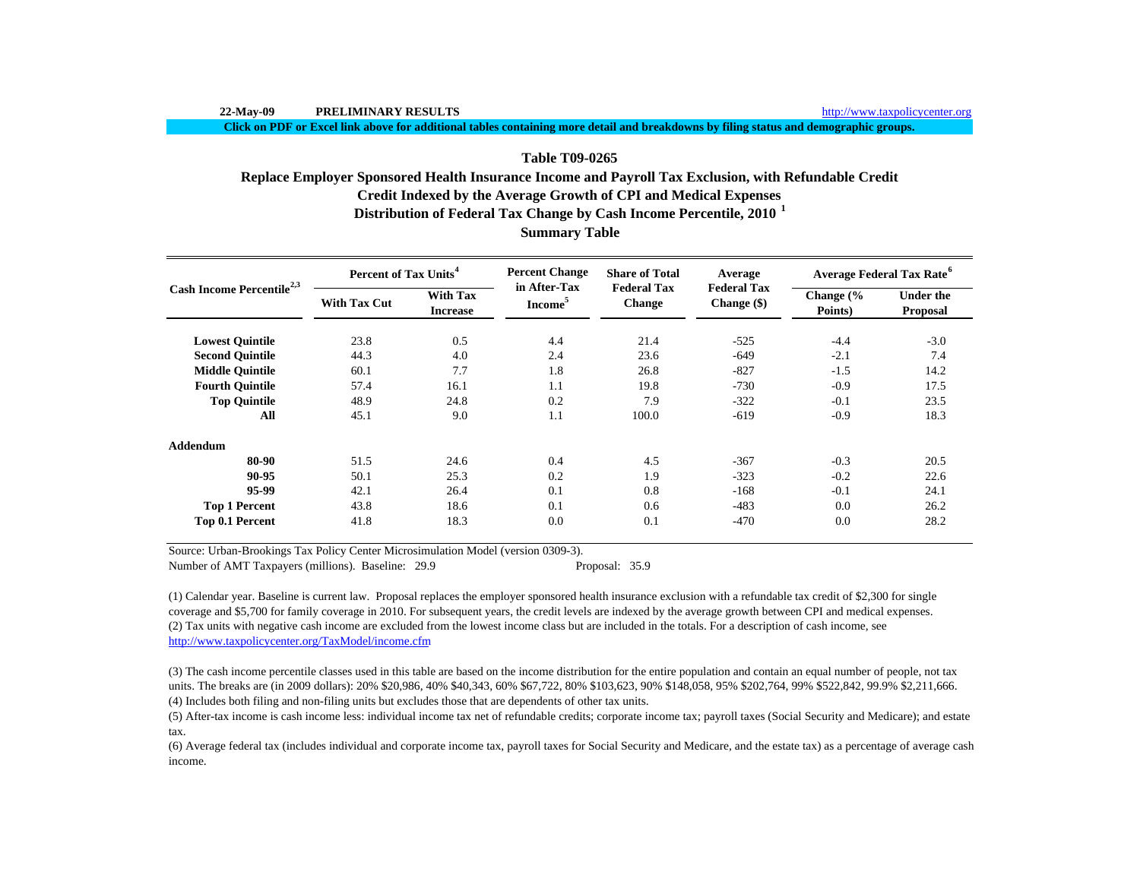**Click on PDF or Excel link above for additional tables containing more detail and breakdowns by filing status and demographic groups.**

# **Table T09-0265**

# **Summary Table Credit Indexed by the Average Growth of CPI and Medical Expenses Distribution of Federal Tax Change by Cash Income Percentile, 2010 <sup>1</sup> Replace Employer Sponsored Health Insurance Income and Payroll Tax Exclusion, with Refundable Credit**

| Cash Income Percentile <sup>2,3</sup> | <b>Percent of Tax Units<sup>4</sup></b> |                                    | <b>Percent Change</b>               | <b>Share of Total</b>               | Average                             | <b>Average Federal Tax Rate<sup>6</sup></b> |                                     |  |
|---------------------------------------|-----------------------------------------|------------------------------------|-------------------------------------|-------------------------------------|-------------------------------------|---------------------------------------------|-------------------------------------|--|
|                                       | <b>With Tax Cut</b>                     | <b>With Tax</b><br><b>Increase</b> | in After-Tax<br>Income <sup>5</sup> | <b>Federal Tax</b><br><b>Change</b> | <b>Federal Tax</b><br>Change $(\$)$ | Change $\frac{6}{6}$<br>Points)             | <b>Under the</b><br><b>Proposal</b> |  |
| <b>Lowest Quintile</b>                | 23.8                                    | 0.5                                | 4.4                                 | 21.4                                | $-525$                              | $-4.4$                                      | $-3.0$                              |  |
| <b>Second Quintile</b>                | 44.3                                    | 4.0                                | 2.4                                 | 23.6                                | $-649$                              | $-2.1$                                      | 7.4                                 |  |
| <b>Middle Quintile</b>                | 60.1                                    | 7.7                                | 1.8                                 | 26.8                                | $-827$                              | $-1.5$                                      | 14.2                                |  |
| <b>Fourth Quintile</b>                | 57.4                                    | 16.1                               | 1.1                                 | 19.8                                | $-730$                              | $-0.9$                                      | 17.5                                |  |
| <b>Top Quintile</b>                   | 48.9                                    | 24.8                               | 0.2                                 | 7.9                                 | $-322$                              | $-0.1$                                      | 23.5                                |  |
| All                                   | 45.1                                    | 9.0                                | 1.1                                 | 100.0                               | $-619$                              | $-0.9$                                      | 18.3                                |  |
| Addendum                              |                                         |                                    |                                     |                                     |                                     |                                             |                                     |  |
| 80-90                                 | 51.5                                    | 24.6                               | 0.4                                 | 4.5                                 | $-367$                              | $-0.3$                                      | 20.5                                |  |
| 90-95                                 | 50.1                                    | 25.3                               | 0.2                                 | 1.9                                 | $-323$                              | $-0.2$                                      | 22.6                                |  |
| 95-99                                 | 42.1                                    | 26.4                               | 0.1                                 | 0.8                                 | $-168$                              | $-0.1$                                      | 24.1                                |  |
| <b>Top 1 Percent</b>                  | 43.8                                    | 18.6                               | 0.1                                 | 0.6                                 | $-483$                              | 0.0                                         | 26.2                                |  |
| Top 0.1 Percent                       | 41.8                                    | 18.3                               | 0.0                                 | 0.1                                 | $-470$                              | 0.0                                         | 28.2                                |  |

Source: Urban-Brookings Tax Policy Center Microsimulation Model (version 0309-3).

Number of AMT Taxpayers (millions). Baseline: 29.9 Proposal: 35.9

(2) Tax units with negative cash income are excluded from the lowest income class but are included in the totals. For a description of cash income, see http://www.taxpolicycenter.org/TaxModel/income.cfm (1) Calendar year. Baseline is current law. Proposal replaces the employer sponsored health insurance exclusion with a refundable tax credit of \$2,300 for single coverage and \$5,700 for family coverage in 2010. For subsequent years, the credit levels are indexed by the average growth between CPI and medical expenses.

(4) Includes both filing and non-filing units but excludes those that are dependents of other tax units. (3) The cash income percentile classes used in this table are based on the income distribution for the entire population and contain an equal number of people, not tax units. The breaks are (in 2009 dollars): 20% \$20,986, 40% \$40,343, 60% \$67,722, 80% \$103,623, 90% \$148,058, 95% \$202,764, 99% \$522,842, 99.9% \$2,211,666.

(5) After-tax income is cash income less: individual income tax net of refundable credits; corporate income tax; payroll taxes (Social Security and Medicare); and estate tax.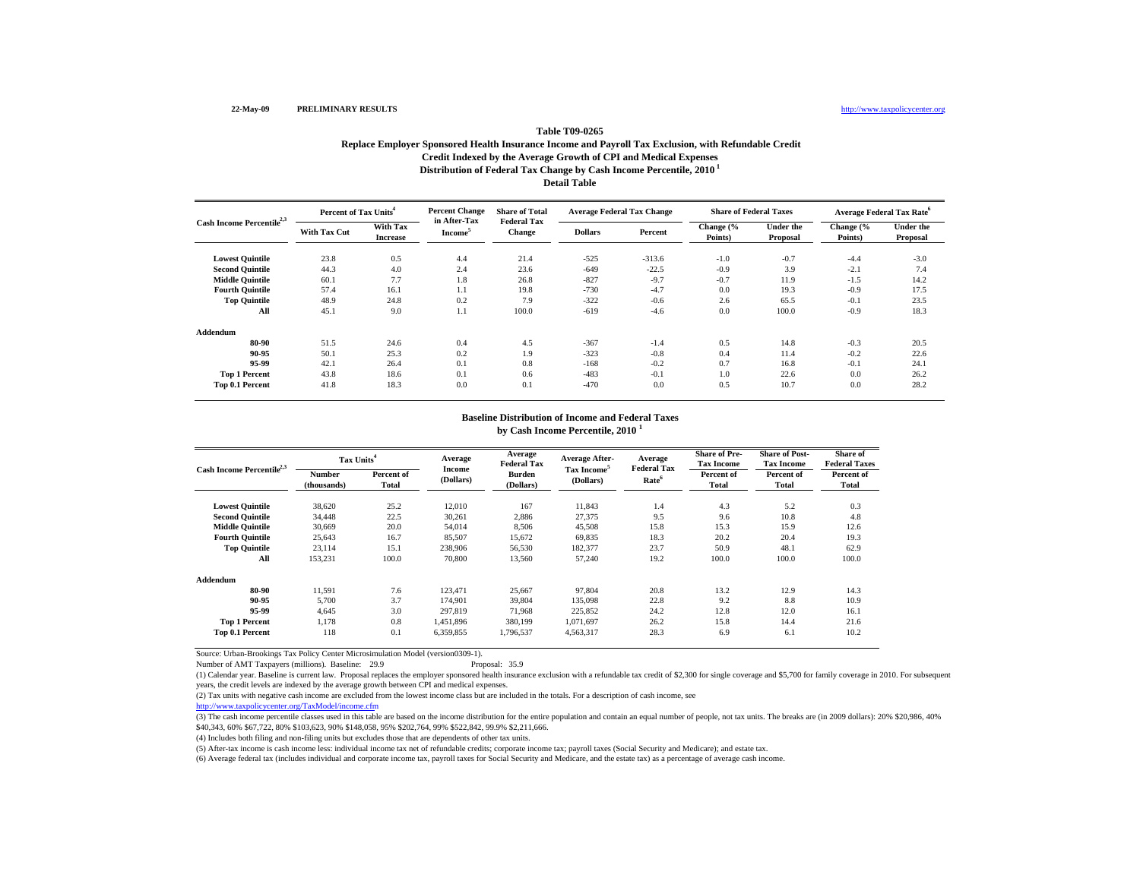# **Table T09-0265Replace Employer Sponsored Health Insurance Income and Payroll Tax Exclusion, with Refundable Credit Credit Indexed by the Average Growth of CPI and Medical Expenses Distribution of Federal Tax Change by Cash Income Percentile, 2010 1 Detail Table**

| Cash Income Percentile <sup>2,3</sup> | Percent of Tax Units <sup>4</sup> |                             | <b>Percent Change</b><br>in After-Tax | <b>Share of Total</b>               | <b>Average Federal Tax Change</b> |          | <b>Share of Federal Taxes</b> |                              | <b>Average Federal Tax Rate<sup>6</sup></b> |                              |
|---------------------------------------|-----------------------------------|-----------------------------|---------------------------------------|-------------------------------------|-----------------------------------|----------|-------------------------------|------------------------------|---------------------------------------------|------------------------------|
|                                       | With Tax Cut                      | With Tax<br><b>Increase</b> | Income <sup>3</sup>                   | <b>Federal Tax</b><br><b>Change</b> | <b>Dollars</b>                    | Percent  | Change (%<br>Points)          | <b>Under the</b><br>Proposal | Change (%<br>Points)                        | <b>Under the</b><br>Proposal |
| <b>Lowest Quintile</b>                | 23.8                              | 0.5                         | 4.4                                   | 21.4                                | $-525$                            | $-313.6$ | $-1.0$                        | $-0.7$                       | $-4.4$                                      | $-3.0$                       |
| <b>Second Quintile</b>                | 44.3                              | 4.0                         | 2.4                                   | 23.6                                | $-649$                            | $-22.5$  | $-0.9$                        | 3.9                          | $-2.1$                                      | 7.4                          |
| <b>Middle Quintile</b>                | 60.1                              | 7.7                         | 1.8                                   | 26.8                                | $-827$                            | $-9.7$   | $-0.7$                        | 11.9                         | $-1.5$                                      | 14.2                         |
| <b>Fourth Quintile</b>                | 57.4                              | 16.1                        | 1.1                                   | 19.8                                | $-730$                            | $-4.7$   | 0.0                           | 19.3                         | $-0.9$                                      | 17.5                         |
| <b>Top Quintile</b>                   | 48.9                              | 24.8                        | 0.2                                   | 7.9                                 | $-322$                            | $-0.6$   | 2.6                           | 65.5                         | $-0.1$                                      | 23.5                         |
| All                                   | 45.1                              | 9.0                         | 1.1                                   | 100.0                               | $-619$                            | $-4.6$   | 0.0                           | 100.0                        | $-0.9$                                      | 18.3                         |
| Addendum                              |                                   |                             |                                       |                                     |                                   |          |                               |                              |                                             |                              |
| 80-90                                 | 51.5                              | 24.6                        | 0.4                                   | 4.5                                 | $-367$                            | $-1.4$   | 0.5                           | 14.8                         | $-0.3$                                      | 20.5                         |
| 90-95                                 | 50.1                              | 25.3                        | 0.2                                   | 1.9                                 | $-323$                            | $-0.8$   | 0.4                           | 11.4                         | $-0.2$                                      | 22.6                         |
| 95-99                                 | 42.1                              | 26.4                        | 0.1                                   | 0.8                                 | $-168$                            | $-0.2$   | 0.7                           | 16.8                         | $-0.1$                                      | 24.1                         |
| <b>Top 1 Percent</b>                  | 43.8                              | 18.6                        | 0.1                                   | 0.6                                 | $-483$                            | $-0.1$   | 1.0                           | 22.6                         | 0.0                                         | 26.2                         |
| Top 0.1 Percent                       | 41.8                              | 18.3                        | 0.0                                   | 0.1                                 | $-470$                            | 0.0      | 0.5                           | 10.7                         | 0.0                                         | 28.2                         |

#### **Baseline Distribution of Income and Federal Taxes**

**by Cash Income Percentile, 2010 <sup>1</sup>**

| Cash Income Percentile <sup>2,3</sup> |                       | Tax Units <sup>4</sup> |                     | Average<br><b>Federal Tax</b> | <b>Average After-</b>                | Average                                 | <b>Share of Pre-</b><br><b>Tax Income</b> | <b>Share of Post-</b><br><b>Tax Income</b> | Share of<br><b>Federal Taxes</b> |
|---------------------------------------|-----------------------|------------------------|---------------------|-------------------------------|--------------------------------------|-----------------------------------------|-------------------------------------------|--------------------------------------------|----------------------------------|
|                                       | Number<br>(thousands) | Percent of<br>Total    | Income<br>(Dollars) | Burden<br>(Dollars)           | Tax Income <sup>5</sup><br>(Dollars) | <b>Federal Tax</b><br>Rate <sup>6</sup> | Percent of<br>Total                       | Percent of<br>Total                        | Percent of<br>Total              |
| <b>Lowest Quintile</b>                | 38,620                | 25.2                   | 12,010              | 167                           | 11,843                               | 1.4                                     | 4.3                                       | 5.2                                        | 0.3                              |
| <b>Second Quintile</b>                | 34,448                | 22.5                   | 30,261              | 2,886                         | 27,375                               | 9.5                                     | 9.6                                       | 10.8                                       | 4.8                              |
| <b>Middle Ouintile</b>                | 30.669                | 20.0                   | 54,014              | 8,506                         | 45,508                               | 15.8                                    | 15.3                                      | 15.9                                       | 12.6                             |
| <b>Fourth Ouintile</b>                | 25,643                | 16.7                   | 85,507              | 15,672                        | 69,835                               | 18.3                                    | 20.2                                      | 20.4                                       | 19.3                             |
| <b>Top Quintile</b>                   | 23.114                | 15.1                   | 238,906             | 56.530                        | 182,377                              | 23.7                                    | 50.9                                      | 48.1                                       | 62.9                             |
| All                                   | 153,231               | 100.0                  | 70,800              | 13,560                        | 57,240                               | 19.2                                    | 100.0                                     | 100.0                                      | 100.0                            |
| Addendum                              |                       |                        |                     |                               |                                      |                                         |                                           |                                            |                                  |
| 80-90                                 | 11,591                | 7.6                    | 123.471             | 25,667                        | 97.804                               | 20.8                                    | 13.2                                      | 12.9                                       | 14.3                             |
| 90-95                                 | 5,700                 | 3.7                    | 174,901             | 39,804                        | 135,098                              | 22.8                                    | 9.2                                       | 8.8                                        | 10.9                             |
| 95-99                                 | 4.645                 | 3.0                    | 297.819             | 71.968                        | 225.852                              | 24.2                                    | 12.8                                      | 12.0                                       | 16.1                             |
| <b>Top 1 Percent</b>                  | 1.178                 | 0.8                    | 1,451,896           | 380,199                       | 1.071.697                            | 26.2                                    | 15.8                                      | 14.4                                       | 21.6                             |
| <b>Top 0.1 Percent</b>                | 118                   | 0.1                    | 6,359,855           | 1,796,537                     | 4,563,317                            | 28.3                                    | 6.9                                       | 6.1                                        | 10.2                             |

Source: Urban-Brookings Tax Policy Center Microsimulation Model (version0309-1).

Number of AMT Taxpayers (millions). Baseline: 29.9

(1) Calendar year. Baseline is current law. Proposal replaces the employer sponsored health insurance exclusion with a refundable tax credit of \$2,300 for single coverage and \$5,700 for family coverage in 2010. For subsequ years, the credit levels are indexed by the average growth between CPI and medical expenses.

(2) Tax units with negative cash income are excluded from the lowest income class but are included in the totals. For a description of cash income, see

http://www.taxpolicycenter.org/TaxModel/income.cfm

(3) The cash income percentile classes used in this table are based on the income distribution for the entire population and contain an equal number of people, not tax units. The breaks are (in 2009 dollars): 20% \$20,986, \$40,343, 60% \$67,722, 80% \$103,623, 90% \$148,058, 95% \$202,764, 99% \$522,842, 99.9% \$2,211,666.

(4) Includes both filing and non-filing units but excludes those that are dependents of other tax units.

(5) After-tax income is cash income less: individual income tax net of refundable credits; corporate income tax; payroll taxes (Social Security and Medicare); and estate tax.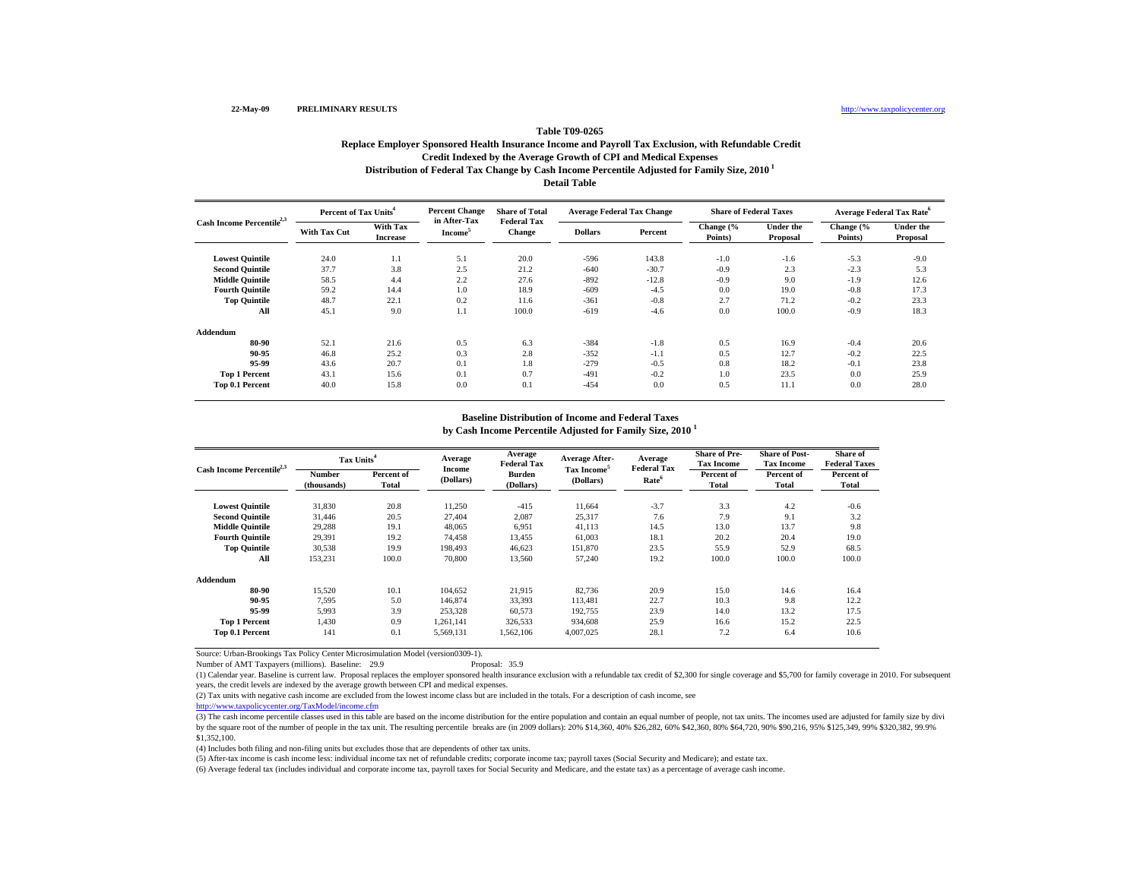# **Table T09-0265Replace Employer Sponsored Health Insurance Income and Payroll Tax Exclusion, with Refundable Credit Credit Indexed by the Average Growth of CPI and Medical Expenses Distribution of Federal Tax Change by Cash Income Percentile Adjusted for Family Size, 2010 1 Detail Table**

| Cash Income Percentile <sup>2,3</sup> | Percent of Tax Units <sup>4</sup> |                             | <b>Percent Change</b>                      | <b>Share of Total</b>               | <b>Average Federal Tax Change</b> |         | <b>Share of Federal Taxes</b> |                              | <b>Average Federal Tax Rate<sup>6</sup></b> |                              |
|---------------------------------------|-----------------------------------|-----------------------------|--------------------------------------------|-------------------------------------|-----------------------------------|---------|-------------------------------|------------------------------|---------------------------------------------|------------------------------|
|                                       | With Tax Cut                      | With Tax<br><b>Increase</b> | in After-Tax<br><b>Income</b> <sup>5</sup> | <b>Federal Tax</b><br><b>Change</b> | <b>Dollars</b>                    | Percent | Change (%<br>Points)          | <b>Under the</b><br>Proposal | Change (%<br>Points)                        | <b>Under the</b><br>Proposal |
| <b>Lowest Quintile</b>                | 24.0                              | 1.1                         | 5.1                                        | 20.0                                | $-596$                            | 143.8   | $-1.0$                        | $-1.6$                       | $-5.3$                                      | $-9.0$                       |
| <b>Second Quintile</b>                | 37.7                              | 3.8                         | 2.5                                        | 21.2                                | $-640$                            | $-30.7$ | $-0.9$                        | 2.3                          | $-2.3$                                      | 5.3                          |
| <b>Middle Quintile</b>                | 58.5                              | 4.4                         | 2.2                                        | 27.6                                | $-892$                            | $-12.8$ | $-0.9$                        | 9.0                          | $-1.9$                                      | 12.6                         |
| <b>Fourth Quintile</b>                | 59.2                              | 14.4                        | 1.0                                        | 18.9                                | $-609$                            | $-4.5$  | 0.0                           | 19.0                         | $-0.8$                                      | 17.3                         |
| <b>Top Quintile</b>                   | 48.7                              | 22.1                        | 0.2                                        | 11.6                                | $-361$                            | $-0.8$  | 2.7                           | 71.2                         | $-0.2$                                      | 23.3                         |
| All                                   | 45.1                              | 9.0                         | 1.1                                        | 100.0                               | $-619$                            | $-4.6$  | 0.0                           | 100.0                        | $-0.9$                                      | 18.3                         |
| Addendum                              |                                   |                             |                                            |                                     |                                   |         |                               |                              |                                             |                              |
| 80-90                                 | 52.1                              | 21.6                        | 0.5                                        | 6.3                                 | $-384$                            | $-1.8$  | 0.5                           | 16.9                         | $-0.4$                                      | 20.6                         |
| 90-95                                 | 46.8                              | 25.2                        | 0.3                                        | 2.8                                 | $-352$                            | $-1.1$  | 0.5                           | 12.7                         | $-0.2$                                      | 22.5                         |
| 95-99                                 | 43.6                              | 20.7                        | 0.1                                        | 1.8                                 | $-279$                            | $-0.5$  | 0.8                           | 18.2                         | $-0.1$                                      | 23.8                         |
| <b>Top 1 Percent</b>                  | 43.1                              | 15.6                        | 0.1                                        | 0.7                                 | $-491$                            | $-0.2$  | 1.0                           | 23.5                         | 0.0                                         | 25.9                         |
| Top 0.1 Percent                       | 40.0                              | 15.8                        | 0.0                                        | 0.1                                 | $-454$                            | 0.0     | 0.5                           | 11.1                         | 0.0                                         | 28.0                         |

#### **Baseline Distribution of Income and Federal Taxes**

**by Cash Income Percentile Adjusted for Family Size, 2010 <sup>1</sup>**

| Cash Income Percentile <sup>2,3</sup> |                       | Tax Units <sup>4</sup> |                     | Average<br><b>Federal Tax</b> | <b>Average After-</b>                | Average                                 | <b>Share of Pre-</b><br><b>Tax Income</b> | <b>Share of Post-</b><br><b>Tax Income</b> | Share of<br><b>Federal Taxes</b> |
|---------------------------------------|-----------------------|------------------------|---------------------|-------------------------------|--------------------------------------|-----------------------------------------|-------------------------------------------|--------------------------------------------|----------------------------------|
|                                       | Number<br>(thousands) | Percent of<br>Total    | Income<br>(Dollars) | <b>Burden</b><br>(Dollars)    | Tax Income <sup>5</sup><br>(Dollars) | <b>Federal Tax</b><br>Rate <sup>6</sup> | Percent of<br>Total                       | Percent of<br>Total                        | Percent of<br>Total              |
| <b>Lowest Quintile</b>                | 31,830                | 20.8                   | 11,250              | $-415$                        | 11,664                               | $-3.7$                                  | 3.3                                       | 4.2                                        | $-0.6$                           |
| <b>Second Quintile</b>                | 31.446                | 20.5                   | 27,404              | 2,087                         | 25,317                               | 7.6                                     | 7.9                                       | 9.1                                        | 3.2                              |
| <b>Middle Quintile</b>                | 29,288                | 19.1                   | 48,065              | 6,951                         | 41,113                               | 14.5                                    | 13.0                                      | 13.7                                       | 9.8                              |
| <b>Fourth Ouintile</b>                | 29,391                | 19.2                   | 74.458              | 13.455                        | 61,003                               | 18.1                                    | 20.2                                      | 20.4                                       | 19.0                             |
| <b>Top Quintile</b>                   | 30,538                | 19.9                   | 198.493             | 46.623                        | 151,870                              | 23.5                                    | 55.9                                      | 52.9                                       | 68.5                             |
| All                                   | 153,231               | 100.0                  | 70,800              | 13,560                        | 57,240                               | 19.2                                    | 100.0                                     | 100.0                                      | 100.0                            |
| Addendum                              |                       |                        |                     |                               |                                      |                                         |                                           |                                            |                                  |
| 80-90                                 | 15.520                | 10.1                   | 104,652             | 21.915                        | 82,736                               | 20.9                                    | 15.0                                      | 14.6                                       | 16.4                             |
| 90-95                                 | 7.595                 | 5.0                    | 146,874             | 33.393                        | 113.481                              | 22.7                                    | 10.3                                      | 9.8                                        | 12.2                             |
| 95-99                                 | 5.993                 | 3.9                    | 253,328             | 60.573                        | 192.755                              | 23.9                                    | 14.0                                      | 13.2                                       | 17.5                             |
| <b>Top 1 Percent</b>                  | 1,430                 | 0.9                    | 1,261,141           | 326,533                       | 934,608                              | 25.9                                    | 16.6                                      | 15.2                                       | 22.5                             |
| Top 0.1 Percent                       | 141                   | 0.1                    | 5,569,131           | 1,562,106                     | 4,007,025                            | 28.1                                    | 7.2                                       | 6.4                                        | 10.6                             |

Source: Urban-Brookings Tax Policy Center Microsimulation Model (version0309-1). Number of AMT Taxpayers (millions). Baseline: 29.9

(1) Calendar year. Baseline is current law. Proposal replaces the employer sponsored health insurance exclusion with a refundable tax credit of \$2,300 for single coverage and \$5,700 for family coverage in 2010. For subsequ years, the credit levels are indexed by the average growth between CPI and medical expenses.

(2) Tax units with negative cash income are excluded from the lowest income class but are included in the totals. For a description of cash income, see

http://www.taxpolicycenter.org/TaxModel/income.cfm

(3) The cash income percentile classes used in this table are based on the income distribution for the entire population and contain an equal number of people, not tax units. The incomes used are adjusted for family size b by the square root of the number of people in the tax unit. The resulting percentile breaks are (in 2009 dollars): 20% \$14,360, 40% \$26,282, 60% \$42,360, 80% \$64,720, 90% \$90,216, 95% \$125,349, 99% \$320,382, 99.9% \$1,352,100.

(4) Includes both filing and non-filing units but excludes those that are dependents of other tax units.

(5) After-tax income is cash income less: individual income tax net of refundable credits; corporate income tax; payroll taxes (Social Security and Medicare); and estate tax.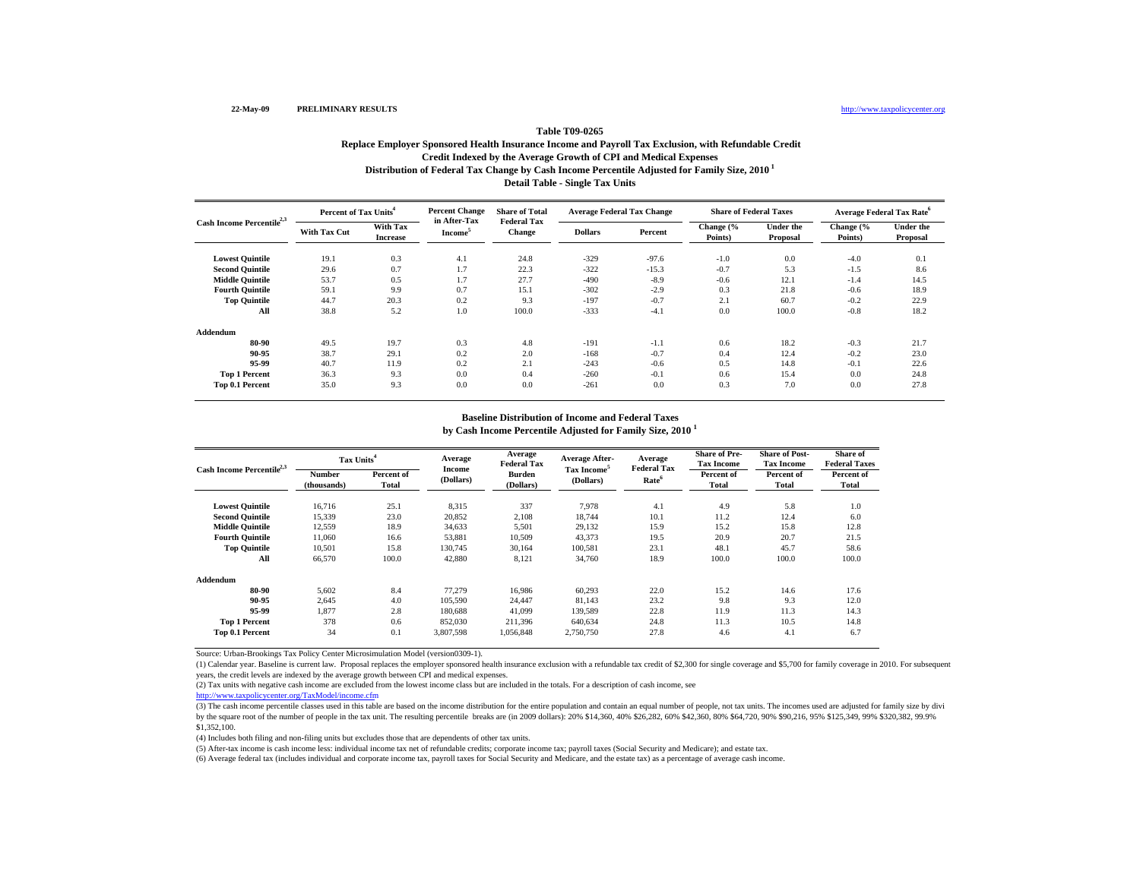# **Table T09-0265Replace Employer Sponsored Health Insurance Income and Payroll Tax Exclusion, with Refundable Credit Credit Indexed by the Average Growth of CPI and Medical Expenses Distribution of Federal Tax Change by Cash Income Percentile Adjusted for Family Size, 2010 1 Detail Table - Single Tax Units**

| Cash Income Percentile <sup>2,3</sup> | Percent of Tax Units <sup>4</sup> |                             | <b>Percent Change</b><br>in After-Tax | <b>Share of Total</b>               | <b>Average Federal Tax Change</b> |         | <b>Share of Federal Taxes</b> |                              | <b>Average Federal Tax Rate</b> <sup>6</sup> |                              |
|---------------------------------------|-----------------------------------|-----------------------------|---------------------------------------|-------------------------------------|-----------------------------------|---------|-------------------------------|------------------------------|----------------------------------------------|------------------------------|
|                                       | <b>With Tax Cut</b>               | With Tax<br><b>Increase</b> | Income <sup>3</sup>                   | <b>Federal Tax</b><br><b>Change</b> | <b>Dollars</b>                    | Percent | Change (%<br>Points)          | <b>Under the</b><br>Proposal | Change (%<br>Points)                         | <b>Under the</b><br>Proposal |
| <b>Lowest Quintile</b>                | 19.1                              | 0.3                         | 4.1                                   | 24.8                                | $-329$                            | $-97.6$ | $-1.0$                        | 0.0                          | $-4.0$                                       | 0.1                          |
| <b>Second Quintile</b>                | 29.6                              | 0.7                         | 1.7                                   | 22.3                                | $-322$                            | $-15.3$ | $-0.7$                        | 5.3                          | $-1.5$                                       | 8.6                          |
| <b>Middle Quintile</b>                | 53.7                              | 0.5                         | 1.7                                   | 27.7                                | $-490$                            | $-8.9$  | $-0.6$                        | 12.1                         | $-1.4$                                       | 14.5                         |
| <b>Fourth Quintile</b>                | 59.1                              | 9.9                         | 0.7                                   | 15.1                                | $-302$                            | $-2.9$  | 0.3                           | 21.8                         | $-0.6$                                       | 18.9                         |
| <b>Top Quintile</b>                   | 44.7                              | 20.3                        | 0.2                                   | 9.3                                 | $-197$                            | $-0.7$  | 2.1                           | 60.7                         | $-0.2$                                       | 22.9                         |
| All                                   | 38.8                              | 5.2                         | 1.0                                   | 100.0                               | $-333$                            | $-4.1$  | 0.0                           | 100.0                        | $-0.8$                                       | 18.2                         |
| Addendum                              |                                   |                             |                                       |                                     |                                   |         |                               |                              |                                              |                              |
| 80-90                                 | 49.5                              | 19.7                        | 0.3                                   | 4.8                                 | $-191$                            | $-1.1$  | 0.6                           | 18.2                         | $-0.3$                                       | 21.7                         |
| 90-95                                 | 38.7                              | 29.1                        | 0.2                                   | 2.0                                 | $-168$                            | $-0.7$  | 0.4                           | 12.4                         | $-0.2$                                       | 23.0                         |
| 95-99                                 | 40.7                              | 11.9                        | 0.2                                   | 2.1                                 | $-243$                            | $-0.6$  | 0.5                           | 14.8                         | $-0.1$                                       | 22.6                         |
| <b>Top 1 Percent</b>                  | 36.3                              | 9.3                         | 0.0                                   | 0.4                                 | $-260$                            | $-0.1$  | 0.6                           | 15.4                         | 0.0                                          | 24.8                         |
| Top 0.1 Percent                       | 35.0                              | 9.3                         | 0.0                                   | 0.0                                 | $-261$                            | 0.0     | 0.3                           | 7.0                          | 0.0                                          | 27.8                         |

#### **Baseline Distribution of Income and Federal Taxes**

**by Cash Income Percentile Adjusted for Family Size, 2010 <sup>1</sup>**

| Cash Income Percentile <sup>2,3</sup> |                       | Tax Units <sup>4</sup> |                     | Average<br><b>Federal Tax</b> | <b>Average After-</b>                | Average<br><b>Federal Tax</b> | <b>Share of Pre-</b><br><b>Tax Income</b> | <b>Share of Post-</b><br><b>Tax Income</b> | Share of<br><b>Federal Taxes</b> |
|---------------------------------------|-----------------------|------------------------|---------------------|-------------------------------|--------------------------------------|-------------------------------|-------------------------------------------|--------------------------------------------|----------------------------------|
|                                       | Number<br>(thousands) | Percent of<br>Total    | Income<br>(Dollars) | <b>Burden</b><br>(Dollars)    | Tax Income <sup>5</sup><br>(Dollars) | Rate <sup>6</sup>             | Percent of<br>Total                       | Percent of<br>Total                        | Percent of<br>Total              |
| <b>Lowest Quintile</b>                | 16,716                | 25.1                   | 8,315               | 337                           | 7,978                                | 4.1                           | 4.9                                       | 5.8                                        | 1.0                              |
| <b>Second Quintile</b>                | 15,339                | 23.0                   | 20,852              | 2,108                         | 18,744                               | 10.1                          | 11.2                                      | 12.4                                       | 6.0                              |
| <b>Middle Ouintile</b>                | 12,559                | 18.9                   | 34,633              | 5,501                         | 29,132                               | 15.9                          | 15.2                                      | 15.8                                       | 12.8                             |
| <b>Fourth Ouintile</b>                | 11.060                | 16.6                   | 53,881              | 10,509                        | 43,373                               | 19.5                          | 20.9                                      | 20.7                                       | 21.5                             |
| <b>Top Quintile</b>                   | 10,501                | 15.8                   | 130,745             | 30.164                        | 100,581                              | 23.1                          | 48.1                                      | 45.7                                       | 58.6                             |
| All                                   | 66,570                | 100.0                  | 42,880              | 8,121                         | 34,760                               | 18.9                          | 100.0                                     | 100.0                                      | 100.0                            |
| Addendum                              |                       |                        |                     |                               |                                      |                               |                                           |                                            |                                  |
| 80-90                                 | 5,602                 | 8.4                    | 77,279              | 16.986                        | 60,293                               | 22.0                          | 15.2                                      | 14.6                                       | 17.6                             |
| 90-95                                 | 2.645                 | 4.0                    | 105,590             | 24.447                        | 81,143                               | 23.2                          | 9.8                                       | 9.3                                        | 12.0                             |
| 95-99                                 | 1.877                 | 2.8                    | 180.688             | 41.099                        | 139.589                              | 22.8                          | 11.9                                      | 11.3                                       | 14.3                             |
| <b>Top 1 Percent</b>                  | 378                   | 0.6                    | 852,030             | 211,396                       | 640.634                              | 24.8                          | 11.3                                      | 10.5                                       | 14.8                             |
| Top 0.1 Percent                       | 34                    | 0.1                    | 3,807,598           | 1,056,848                     | 2,750,750                            | 27.8                          | 4.6                                       | 4.1                                        | 6.7                              |

Source: Urban-Brookings Tax Policy Center Microsimulation Model (version0309-1).

(1) Calendar year. Baseline is current law. Proposal replaces the employer sponsored health insurance exclusion with a refundable tax credit of \$2,300 for single coverage and \$5,700 for family coverage in 2010. For subsequ years, the credit levels are indexed by the average growth between CPI and medical expenses.

(2) Tax units with negative cash income are excluded from the lowest income class but are included in the totals. For a description of cash income, see

http://www.taxpolicycenter.org/TaxModel/income.cfm

(3) The cash income percentile classes used in this table are based on the income distribution for the entire population and contain an equal number of people, not tax units. The incomes used are adjusted for family size b by the square root of the number of people in the tax unit. The resulting percentile breaks are (in 2009 dollars): 20% \$14,360, 40% \$26,282, 60% \$42,360, 80% \$64,720, 90% \$90,216, 95% \$125,349, 99% \$320,382, 99.9% \$1,352,100.

(4) Includes both filing and non-filing units but excludes those that are dependents of other tax units.

(5) After-tax income is cash income less: individual income tax net of refundable credits; corporate income tax; payroll taxes (Social Security and Medicare); and estate tax.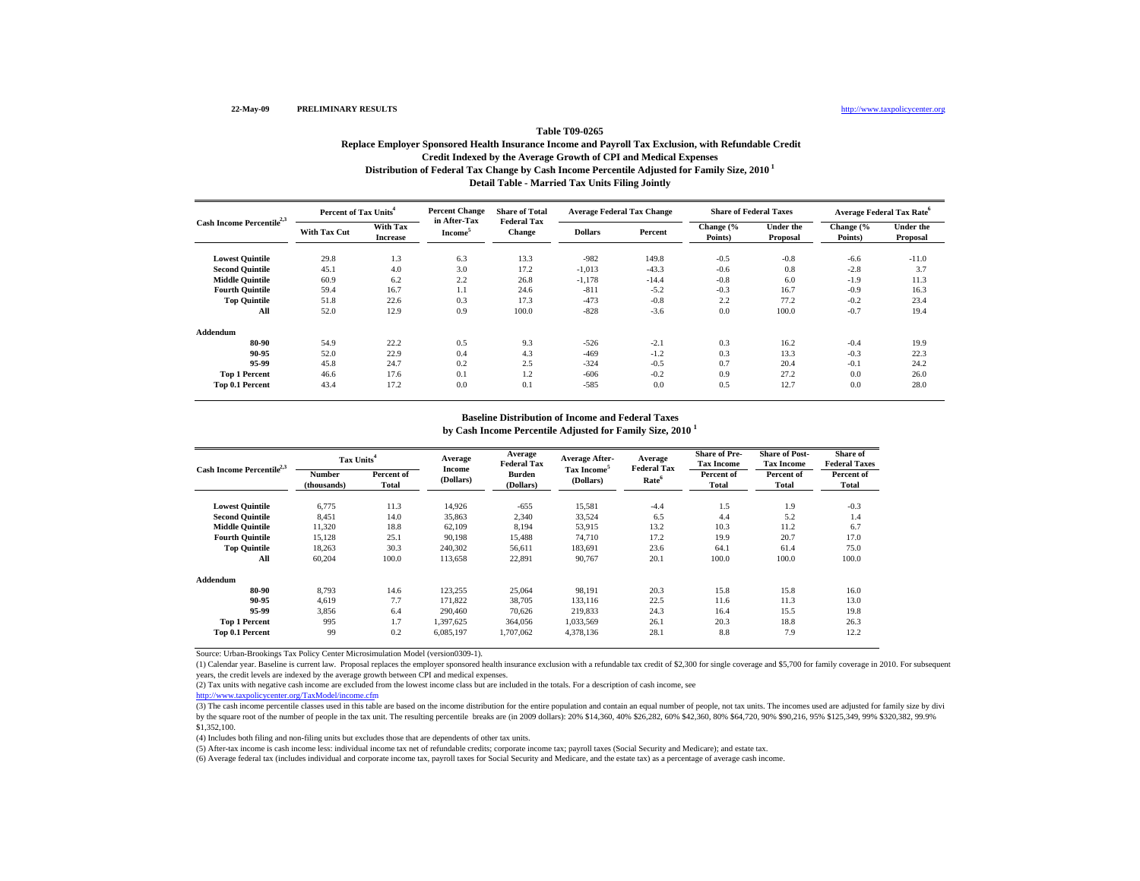# **Table T09-0265Replace Employer Sponsored Health Insurance Income and Payroll Tax Exclusion, with Refundable Credit Credit Indexed by the Average Growth of CPI and Medical Expenses Distribution of Federal Tax Change by Cash Income Percentile Adjusted for Family Size, 2010 1 Detail Table - Married Tax Units Filing Jointly**

| Cash Income Percentile <sup>2,3</sup> | Percent of Tax Units <sup>4</sup> |                             | <b>Percent Change</b>               | <b>Share of Total</b>               | <b>Average Federal Tax Change</b> |         | <b>Share of Federal Taxes</b> |                              | <b>Average Federal Tax Rate<sup>6</sup></b> |                              |
|---------------------------------------|-----------------------------------|-----------------------------|-------------------------------------|-------------------------------------|-----------------------------------|---------|-------------------------------|------------------------------|---------------------------------------------|------------------------------|
|                                       | <b>With Tax Cut</b>               | With Tax<br><b>Increase</b> | in After-Tax<br>Income <sup>5</sup> | <b>Federal Tax</b><br><b>Change</b> | <b>Dollars</b>                    | Percent | Change (%<br>Points)          | <b>Under the</b><br>Proposal | Change (%<br>Points)                        | <b>Under the</b><br>Proposal |
| <b>Lowest Quintile</b>                | 29.8                              | 1.3                         | 6.3                                 | 13.3                                | $-982$                            | 149.8   | $-0.5$                        | $-0.8$                       | $-6.6$                                      | $-11.0$                      |
| <b>Second Quintile</b>                | 45.1                              | 4.0                         | 3.0                                 | 17.2                                | $-1,013$                          | $-43.3$ | $-0.6$                        | 0.8                          | $-2.8$                                      | 3.7                          |
| <b>Middle Quintile</b>                | 60.9                              | 6.2                         | 2.2                                 | 26.8                                | $-1,178$                          | $-14.4$ | $-0.8$                        | 6.0                          | $-1.9$                                      | 11.3                         |
| <b>Fourth Quintile</b>                | 59.4                              | 16.7                        | 1.1                                 | 24.6                                | $-811$                            | $-5.2$  | $-0.3$                        | 16.7                         | $-0.9$                                      | 16.3                         |
| <b>Top Quintile</b>                   | 51.8                              | 22.6                        | 0.3                                 | 17.3                                | $-473$                            | $-0.8$  | 2.2                           | 77.2                         | $-0.2$                                      | 23.4                         |
| All                                   | 52.0                              | 12.9                        | 0.9                                 | 100.0                               | $-828$                            | $-3.6$  | 0.0                           | 100.0                        | $-0.7$                                      | 19.4                         |
| Addendum                              |                                   |                             |                                     |                                     |                                   |         |                               |                              |                                             |                              |
| 80-90                                 | 54.9                              | 22.2                        | 0.5                                 | 9.3                                 | $-526$                            | $-2.1$  | 0.3                           | 16.2                         | $-0.4$                                      | 19.9                         |
| 90-95                                 | 52.0                              | 22.9                        | 0.4                                 | 4.3                                 | $-469$                            | $-1.2$  | 0.3                           | 13.3                         | $-0.3$                                      | 22.3                         |
| 95-99                                 | 45.8                              | 24.7                        | 0.2                                 | 2.5                                 | $-324$                            | $-0.5$  | 0.7                           | 20.4                         | $-0.1$                                      | 24.2                         |
| <b>Top 1 Percent</b>                  | 46.6                              | 17.6                        | 0.1                                 | 1.2                                 | $-606$                            | $-0.2$  | 0.9                           | 27.2                         | 0.0                                         | 26.0                         |
| Top 0.1 Percent                       | 43.4                              | 17.2                        | 0.0                                 | 0.1                                 | $-585$                            | 0.0     | 0.5                           | 12.7                         | 0.0                                         | 28.0                         |

#### **Baseline Distribution of Income and Federal Taxes**

**by Cash Income Percentile Adjusted for Family Size, 2010 <sup>1</sup>**

| Cash Income Percentile <sup>2,3</sup> |                       | Tax Units <sup>4</sup> |                     | Average<br><b>Federal Tax</b> | <b>Average After-</b>                | Average                                 | <b>Share of Pre-</b><br><b>Tax Income</b> | <b>Share of Post-</b><br><b>Tax Income</b> | Share of<br><b>Federal Taxes</b> |
|---------------------------------------|-----------------------|------------------------|---------------------|-------------------------------|--------------------------------------|-----------------------------------------|-------------------------------------------|--------------------------------------------|----------------------------------|
|                                       | Number<br>(thousands) | Percent of<br>Total    | Income<br>(Dollars) | Burden<br>(Dollars)           | Tax Income <sup>5</sup><br>(Dollars) | <b>Federal Tax</b><br>Rate <sup>6</sup> | Percent of<br>Total                       | Percent of<br>Total                        | Percent of<br>Total              |
| <b>Lowest Quintile</b>                | 6,775                 | 11.3                   | 14,926              | $-655$                        | 15,581                               | $-4.4$                                  | 1.5                                       | 1.9                                        | $-0.3$                           |
| <b>Second Quintile</b>                | 8,451                 | 14.0                   | 35,863              | 2,340                         | 33,524                               | 6.5                                     | 4.4                                       | 5.2                                        | 1.4                              |
| <b>Middle Quintile</b>                | 11,320                | 18.8                   | 62,109              | 8,194                         | 53,915                               | 13.2                                    | 10.3                                      | 11.2                                       | 6.7                              |
| <b>Fourth Ouintile</b>                | 15,128                | 25.1                   | 90,198              | 15,488                        | 74,710                               | 17.2                                    | 19.9                                      | 20.7                                       | 17.0                             |
| <b>Top Quintile</b>                   | 18,263                | 30.3                   | 240,302             | 56,611                        | 183.691                              | 23.6                                    | 64.1                                      | 61.4                                       | 75.0                             |
| All                                   | 60,204                | 100.0                  | 113,658             | 22,891                        | 90,767                               | 20.1                                    | 100.0                                     | 100.0                                      | 100.0                            |
| Addendum                              |                       |                        |                     |                               |                                      |                                         |                                           |                                            |                                  |
| 80-90                                 | 8.793                 | 14.6                   | 123,255             | 25,064                        | 98.191                               | 20.3                                    | 15.8                                      | 15.8                                       | 16.0                             |
| 90-95                                 | 4.619                 | 7.7                    | 171.822             | 38,705                        | 133.116                              | 22.5                                    | 11.6                                      | 11.3                                       | 13.0                             |
| 95-99                                 | 3.856                 | 6.4                    | 290,460             | 70.626                        | 219,833                              | 24.3                                    | 16.4                                      | 15.5                                       | 19.8                             |
| <b>Top 1 Percent</b>                  | 995                   | 1.7                    | 1.397.625           | 364,056                       | 1,033,569                            | 26.1                                    | 20.3                                      | 18.8                                       | 26.3                             |
| Top 0.1 Percent                       | 99                    | 0.2                    | 6,085,197           | 1,707,062                     | 4,378,136                            | 28.1                                    | 8.8                                       | 7.9                                        | 12.2                             |

Source: Urban-Brookings Tax Policy Center Microsimulation Model (version0309-1).

(1) Calendar year. Baseline is current law. Proposal replaces the employer sponsored health insurance exclusion with a refundable tax credit of \$2,300 for single coverage and \$5,700 for family coverage in 2010. For subsequ years, the credit levels are indexed by the average growth between CPI and medical expenses.

(2) Tax units with negative cash income are excluded from the lowest income class but are included in the totals. For a description of cash income, see

http://www.taxpolicycenter.org/TaxModel/income.cfm

(3) The cash income percentile classes used in this table are based on the income distribution for the entire population and contain an equal number of people, not tax units. The incomes used are adjusted for family size b by the square root of the number of people in the tax unit. The resulting percentile breaks are (in 2009 dollars): 20% \$14,360, 40% \$26,282, 60% \$42,360, 80% \$64,720, 90% \$90,216, 95% \$125,349, 99% \$320,382, 99.9% \$1,352,100.

(4) Includes both filing and non-filing units but excludes those that are dependents of other tax units.

(5) After-tax income is cash income less: individual income tax net of refundable credits; corporate income tax; payroll taxes (Social Security and Medicare); and estate tax.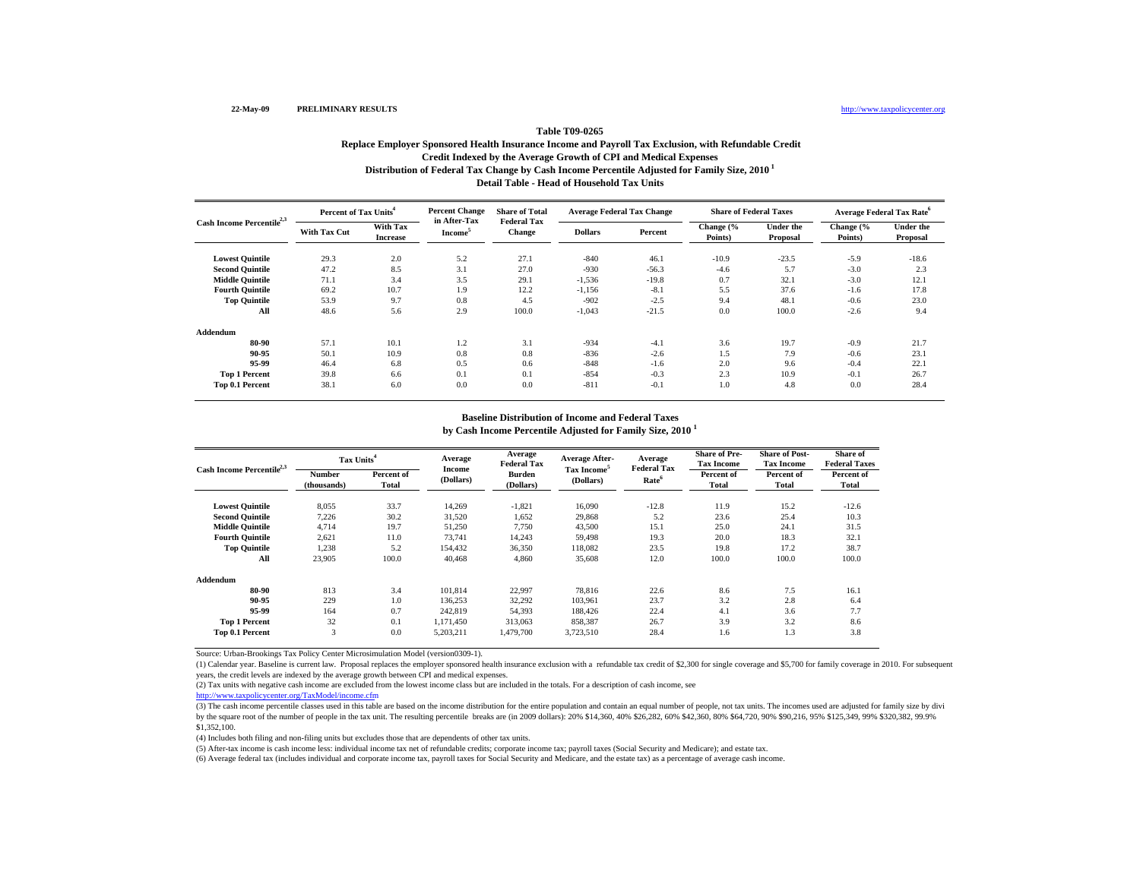# **Table T09-0265Replace Employer Sponsored Health Insurance Income and Payroll Tax Exclusion, with Refundable Credit Credit Indexed by the Average Growth of CPI and Medical Expenses Distribution of Federal Tax Change by Cash Income Percentile Adjusted for Family Size, 2010 1 Detail Table - Head of Household Tax Units**

| Cash Income Percentile <sup>2,3</sup> | Percent of Tax Units <sup>4</sup> |                             | <b>Percent Change</b>               | <b>Share of Total</b>               | <b>Average Federal Tax Change</b> |         | <b>Share of Federal Taxes</b> |                              | <b>Average Federal Tax Rate</b> <sup>6</sup> |                              |
|---------------------------------------|-----------------------------------|-----------------------------|-------------------------------------|-------------------------------------|-----------------------------------|---------|-------------------------------|------------------------------|----------------------------------------------|------------------------------|
|                                       | With Tax Cut                      | With Tax<br><b>Increase</b> | in After-Tax<br>Income <sup>3</sup> | <b>Federal Tax</b><br><b>Change</b> | <b>Dollars</b>                    | Percent | Change (%<br>Points)          | <b>Under the</b><br>Proposal | Change (%<br>Points)                         | <b>Under the</b><br>Proposal |
| <b>Lowest Quintile</b>                | 29.3                              | 2.0                         | 5.2                                 | 27.1                                | $-840$                            | 46.1    | $-10.9$                       | $-23.5$                      | $-5.9$                                       | $-18.6$                      |
| <b>Second Quintile</b>                | 47.2                              | 8.5                         | 3.1                                 | 27.0                                | $-930$                            | $-56.3$ | $-4.6$                        | 5.7                          | $-3.0$                                       | 2.3                          |
| <b>Middle Quintile</b>                | 71.1                              | 3.4                         | 3.5                                 | 29.1                                | $-1,536$                          | $-19.8$ | 0.7                           | 32.1                         | $-3.0$                                       | 12.1                         |
| <b>Fourth Quintile</b>                | 69.2                              | 10.7                        | 1.9                                 | 12.2                                | $-1,156$                          | $-8.1$  | 5.5                           | 37.6                         | $-1.6$                                       | 17.8                         |
| <b>Top Quintile</b>                   | 53.9                              | 9.7                         | 0.8                                 | 4.5                                 | $-902$                            | $-2.5$  | 9.4                           | 48.1                         | $-0.6$                                       | 23.0                         |
| All                                   | 48.6                              | 5.6                         | 2.9                                 | 100.0                               | $-1,043$                          | $-21.5$ | 0.0                           | 100.0                        | $-2.6$                                       | 9.4                          |
| Addendum                              |                                   |                             |                                     |                                     |                                   |         |                               |                              |                                              |                              |
| 80-90                                 | 57.1                              | 10.1                        | 1.2                                 | 3.1                                 | $-934$                            | $-4.1$  | 3.6                           | 19.7                         | $-0.9$                                       | 21.7                         |
| 90-95                                 | 50.1                              | 10.9                        | 0.8                                 | 0.8                                 | $-836$                            | $-2.6$  | 1.5                           | 7.9                          | $-0.6$                                       | 23.1                         |
| 95-99                                 | 46.4                              | 6.8                         | 0.5                                 | 0.6                                 | $-848$                            | $-1.6$  | 2.0                           | 9.6                          | $-0.4$                                       | 22.1                         |
| <b>Top 1 Percent</b>                  | 39.8                              | 6.6                         | 0.1                                 | 0.1                                 | $-854$                            | $-0.3$  | 2.3                           | 10.9                         | $-0.1$                                       | 26.7                         |
| Top 0.1 Percent                       | 38.1                              | 6.0                         | 0.0                                 | 0.0                                 | $-811$                            | $-0.1$  | 1.0                           | 4.8                          | 0.0                                          | 28.4                         |

#### **Baseline Distribution of Income and Federal Taxes**

**by Cash Income Percentile Adjusted for Family Size, 2010 <sup>1</sup>**

| Cash Income Percentile <sup>2,3</sup> |                       | Tax Units <sup>4</sup> |                     | Average<br><b>Federal Tax</b> | <b>Average After-</b>                | Average                                 | <b>Share of Pre-</b><br><b>Tax Income</b> | <b>Share of Post-</b><br><b>Tax Income</b> | Share of<br><b>Federal Taxes</b> |
|---------------------------------------|-----------------------|------------------------|---------------------|-------------------------------|--------------------------------------|-----------------------------------------|-------------------------------------------|--------------------------------------------|----------------------------------|
|                                       | Number<br>(thousands) | Percent of<br>Total    | Income<br>(Dollars) | Burden<br>(Dollars)           | Tax Income <sup>5</sup><br>(Dollars) | <b>Federal Tax</b><br>Rate <sup>6</sup> | Percent of<br>Total                       | Percent of<br>Total                        | Percent of<br>Total              |
| <b>Lowest Quintile</b>                | 8.055                 | 33.7                   | 14.269              | $-1,821$                      | 16.090                               | $-12.8$                                 | 11.9                                      | 15.2                                       | $-12.6$                          |
| <b>Second Quintile</b>                | 7,226                 | 30.2                   | 31,520              | 1,652                         | 29,868                               | 5.2                                     | 23.6                                      | 25.4                                       | 10.3                             |
| <b>Middle Quintile</b>                | 4.714                 | 19.7                   | 51.250              | 7.750                         | 43,500                               | 15.1                                    | 25.0                                      | 24.1                                       | 31.5                             |
| <b>Fourth Ouintile</b>                | 2,621                 | 11.0                   | 73,741              | 14.243                        | 59,498                               | 19.3                                    | 20.0                                      | 18.3                                       | 32.1                             |
| <b>Top Quintile</b>                   | 1,238                 | 5.2                    | 154.432             | 36,350                        | 118.082                              | 23.5                                    | 19.8                                      | 17.2                                       | 38.7                             |
| All                                   | 23,905                | 100.0                  | 40,468              | 4,860                         | 35,608                               | 12.0                                    | 100.0                                     | 100.0                                      | 100.0                            |
| Addendum                              |                       |                        |                     |                               |                                      |                                         |                                           |                                            |                                  |
| 80-90                                 | 813                   | 3.4                    | 101,814             | 22,997                        | 78,816                               | 22.6                                    | 8.6                                       | 7.5                                        | 16.1                             |
| 90-95                                 | 229                   | 1.0                    | 136,253             | 32,292                        | 103,961                              | 23.7                                    | 3.2                                       | 2.8                                        | 6.4                              |
| 95-99                                 | 164                   | 0.7                    | 242,819             | 54,393                        | 188.426                              | 22.4                                    | 4.1                                       | 3.6                                        | 7.7                              |
| <b>Top 1 Percent</b>                  | 32                    | 0.1                    | 1,171,450           | 313,063                       | 858,387                              | 26.7                                    | 3.9                                       | 3.2                                        | 8.6                              |
| Top 0.1 Percent                       | 3                     | 0.0                    | 5,203,211           | 1,479,700                     | 3,723,510                            | 28.4                                    | 1.6                                       | 1.3                                        | 3.8                              |

Source: Urban-Brookings Tax Policy Center Microsimulation Model (version0309-1).

(1) Calendar year. Baseline is current law. Proposal replaces the employer sponsored health insurance exclusion with a refundable tax credit of \$2,300 for single coverage and \$5,700 for family coverage in 2010. For subsequ years, the credit levels are indexed by the average growth between CPI and medical expenses.

(2) Tax units with negative cash income are excluded from the lowest income class but are included in the totals. For a description of cash income, see

http://www.taxpolicycenter.org/TaxModel/income.cfm

(3) The cash income percentile classes used in this table are based on the income distribution for the entire population and contain an equal number of people, not tax units. The incomes used are adjusted for family size b by the square root of the number of people in the tax unit. The resulting percentile breaks are (in 2009 dollars): 20% \$14,360, 40% \$26,282, 60% \$42,360, 80% \$64,720, 90% \$90,216, 95% \$125,349, 99% \$320,382, 99.9% \$1,352,100.

(4) Includes both filing and non-filing units but excludes those that are dependents of other tax units.

(5) After-tax income is cash income less: individual income tax net of refundable credits; corporate income tax; payroll taxes (Social Security and Medicare); and estate tax.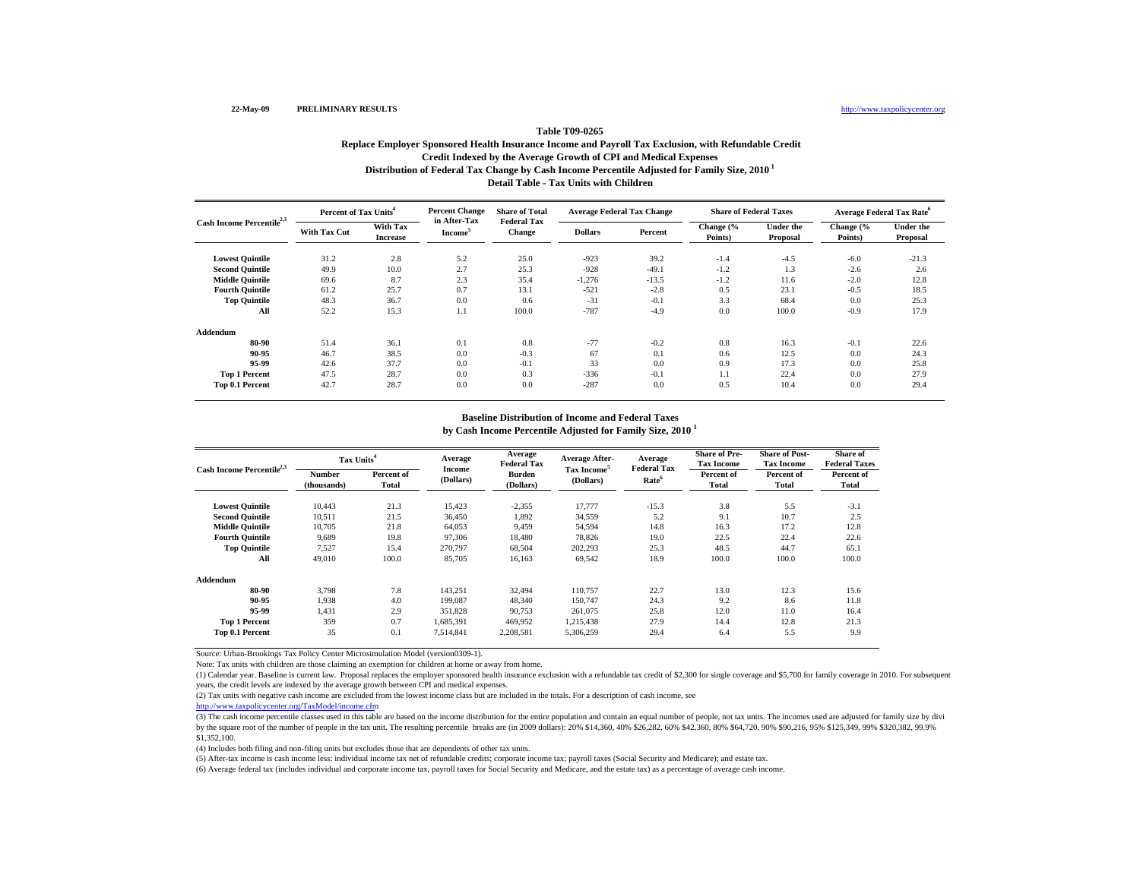# **Table T09-0265Replace Employer Sponsored Health Insurance Income and Payroll Tax Exclusion, with Refundable Credit Credit Indexed by the Average Growth of CPI and Medical Expenses Distribution of Federal Tax Change by Cash Income Percentile Adjusted for Family Size, 2010 1 Detail Table - Tax Units with Children**

| Cash Income Percentile <sup>2,3</sup> | Percent of Tax Units <sup>4</sup> |                             | <b>Percent Change</b><br>in After-Tax | <b>Share of Total</b>               | <b>Average Federal Tax Change</b> |         | <b>Share of Federal Taxes</b> |                              | <b>Average Federal Tax Rate</b> <sup>6</sup> |                              |
|---------------------------------------|-----------------------------------|-----------------------------|---------------------------------------|-------------------------------------|-----------------------------------|---------|-------------------------------|------------------------------|----------------------------------------------|------------------------------|
|                                       | With Tax Cut                      | With Tax<br><b>Increase</b> | <b>Income</b>                         | <b>Federal Tax</b><br><b>Change</b> | <b>Dollars</b>                    | Percent | Change (%<br>Points)          | <b>Under the</b><br>Proposal | Change (%<br>Points)                         | <b>Under the</b><br>Proposal |
| <b>Lowest Quintile</b>                | 31.2                              | 2.8                         | 5.2                                   | 25.0                                | $-923$                            | 39.2    | $-1.4$                        | $-4.5$                       | $-6.0$                                       | $-21.3$                      |
| <b>Second Quintile</b>                | 49.9                              | 10.0                        | 2.7                                   | 25.3                                | $-928$                            | $-49.1$ | $-1.2$                        | 1.3                          | $-2.6$                                       | 2.6                          |
| <b>Middle Quintile</b>                | 69.6                              | 8.7                         | 2.3                                   | 35.4                                | $-1,276$                          | $-13.5$ | $-1.2$                        | 11.6                         | $-2.0$                                       | 12.8                         |
| <b>Fourth Quintile</b>                | 61.2                              | 25.7                        | 0.7                                   | 13.1                                | $-521$                            | $-2.8$  | 0.5                           | 23.1                         | $-0.5$                                       | 18.5                         |
| <b>Top Quintile</b>                   | 48.3                              | 36.7                        | 0.0                                   | 0.6                                 | $-31$                             | $-0.1$  | 3.3                           | 68.4                         | 0.0                                          | 25.3                         |
| All                                   | 52.2                              | 15.3                        | 1.1                                   | 100.0                               | $-787$                            | $-4.9$  | 0.0                           | 100.0                        | $-0.9$                                       | 17.9                         |
| Addendum                              |                                   |                             |                                       |                                     |                                   |         |                               |                              |                                              |                              |
| 80-90                                 | 51.4                              | 36.1                        | 0.1                                   | 0.8                                 | $-77$                             | $-0.2$  | 0.8                           | 16.3                         | $-0.1$                                       | 22.6                         |
| 90-95                                 | 46.7                              | 38.5                        | 0.0                                   | $-0.3$                              | 67                                | 0.1     | 0.6                           | 12.5                         | 0.0                                          | 24.3                         |
| 95-99                                 | 42.6                              | 37.7                        | 0.0                                   | $-0.1$                              | 33                                | 0.0     | 0.9                           | 17.3                         | 0.0                                          | 25.8                         |
| <b>Top 1 Percent</b>                  | 47.5                              | 28.7                        | 0.0                                   | 0.3                                 | $-336$                            | $-0.1$  | 1.1                           | 22.4                         | 0.0                                          | 27.9                         |
| Top 0.1 Percent                       | 42.7                              | 28.7                        | 0.0                                   | 0.0                                 | $-287$                            | 0.0     | 0.5                           | 10.4                         | 0.0                                          | 29.4                         |

### **Baseline Distribution of Income and Federal Taxes**

**by Cash Income Percentile Adjusted for Family Size, 2010 <sup>1</sup>**

| Cash Income Percentile <sup>2,3</sup> | Tax Units <sup>4</sup> |                     | Average             | Average<br><b>Federal Tax</b> | <b>Average After-</b>                | Average                                 | <b>Share of Pre-</b><br><b>Tax Income</b> | <b>Share of Post-</b><br><b>Tax Income</b> | Share of<br><b>Federal Taxes</b> |
|---------------------------------------|------------------------|---------------------|---------------------|-------------------------------|--------------------------------------|-----------------------------------------|-------------------------------------------|--------------------------------------------|----------------------------------|
|                                       | Number<br>(thousands)  | Percent of<br>Total | Income<br>(Dollars) | Burden<br>(Dollars)           | Tax Income <sup>5</sup><br>(Dollars) | <b>Federal Tax</b><br>Rate <sup>6</sup> | Percent of<br>Total                       | Percent of<br>Total                        | Percent of<br>Total              |
| <b>Lowest Quintile</b>                | 10.443                 | 21.3                | 15.423              | $-2,355$                      | 17.777                               | $-15.3$                                 | 3.8                                       | 5.5                                        | $-3.1$                           |
| <b>Second Quintile</b>                | 10,511                 | 21.5                | 36,450              | 1,892                         | 34,559                               | 5.2                                     | 9.1                                       | 10.7                                       | 2.5                              |
| <b>Middle Quintile</b>                | 10.705                 | 21.8                | 64,053              | 9.459                         | 54.594                               | 14.8                                    | 16.3                                      | 17.2                                       | 12.8                             |
| <b>Fourth Quintile</b>                | 9.689                  | 19.8                | 97,306              | 18.480                        | 78.826                               | 19.0                                    | 22.5                                      | 22.4                                       | 22.6                             |
| <b>Top Quintile</b>                   | 7.527                  | 15.4                | 270,797             | 68,504                        | 202.293                              | 25.3                                    | 48.5                                      | 44.7                                       | 65.1                             |
| All                                   | 49.010                 | 100.0               | 85,705              | 16,163                        | 69,542                               | 18.9                                    | 100.0                                     | 100.0                                      | 100.0                            |
| Addendum                              |                        |                     |                     |                               |                                      |                                         |                                           |                                            |                                  |
| 80-90                                 | 3.798                  | 7.8                 | 143,251             | 32,494                        | 110,757                              | 22.7                                    | 13.0                                      | 12.3                                       | 15.6                             |
| 90-95                                 | 1,938                  | 4.0                 | 199,087             | 48,340                        | 150,747                              | 24.3                                    | 9.2                                       | 8.6                                        | 11.8                             |
| 95-99                                 | 1.431                  | 2.9                 | 351.828             | 90,753                        | 261,075                              | 25.8                                    | 12.0                                      | 11.0                                       | 16.4                             |
| <b>Top 1 Percent</b>                  | 359                    | 0.7                 | 1,685,391           | 469,952                       | 1,215,438                            | 27.9                                    | 14.4                                      | 12.8                                       | 21.3                             |
| Top 0.1 Percent                       | 35                     | 0.1                 | 7,514,841           | 2,208,581                     | 5,306,259                            | 29.4                                    | 6.4                                       | 5.5                                        | 9.9                              |

Source: Urban-Brookings Tax Policy Center Microsimulation Model (version0309-1).

Note: Tax units with children are those claiming an exemption for children at home or away from home.

(1) Calendar year. Baseline is current law. Proposal replaces the employer sponsored health insurance exclusion with a refundable tax credit of \$2,300 for single coverage and \$5,700 for family coverage in 2010. For subsequ years, the credit levels are indexed by the average growth between CPI and medical expenses.

(2) Tax units with negative cash income are excluded from the lowest income class but are included in the totals. For a description of cash income, see

http://www.taxpolicycenter.org/TaxModel/income.cfm

(3) The cash income percentile classes used in this table are based on the income distribution for the entire population and contain an equal number of people, not tax units. The incomes used are adjusted for family size b by the square root of the number of people in the tax unit. The resulting percentile breaks are (in 2009 dollars): 20% \$14,360, 40% \$26,282, 60% \$42,360, 80% \$64,720, 90% \$90,216, 95% \$125,349, 99% \$320,382, 99.9% \$1,352,100.

(4) Includes both filing and non-filing units but excludes those that are dependents of other tax units.

(5) After-tax income is cash income less: individual income tax net of refundable credits; corporate income tax; payroll taxes (Social Security and Medicare); and estate tax.